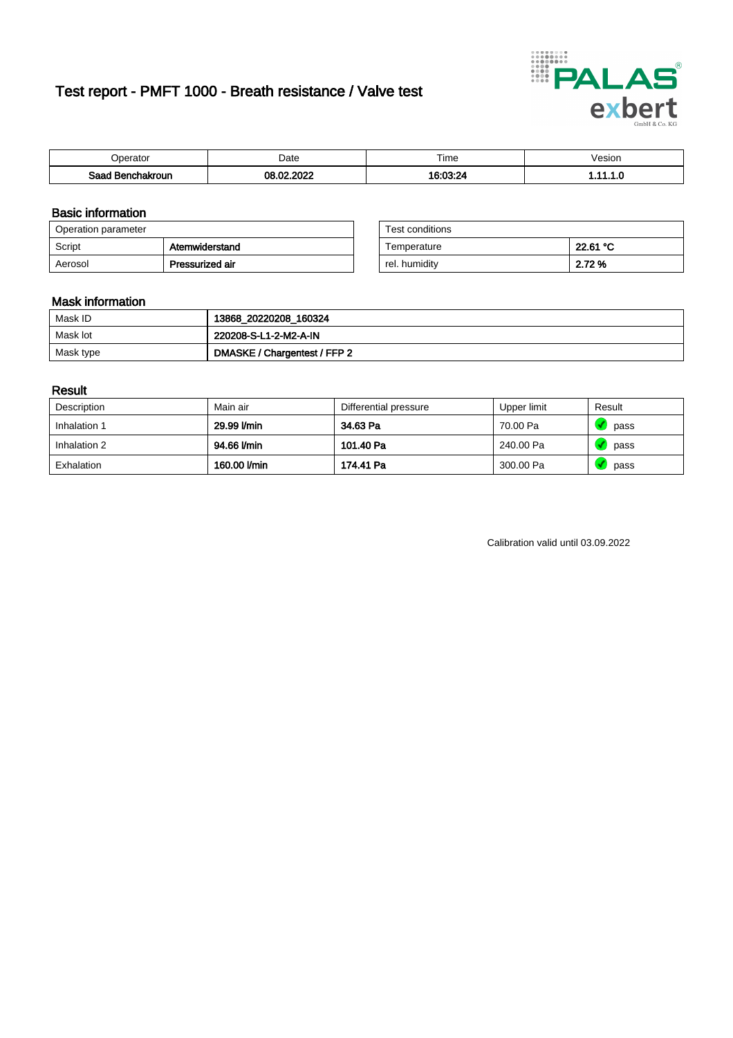# Test report - PMFT 1000 - Breath resistance / Valve test



| Jperator               | Date               | Time<br>. | Vesion |
|------------------------|--------------------|-----------|--------|
| Saad<br>chakroun<br>יי | .2022<br>_ ص<br>ገቧ | 16.03.91  | .      |

### Basic information

| Operation parameter |                 | Test conditions |          |
|---------------------|-----------------|-----------------|----------|
| Script              | Atemwiderstand  | Temperature     | 22.61 °C |
| Aerosol             | Pressurized air | rel. humidity   | 2.72 %   |

| Test conditions |          |
|-----------------|----------|
| Temperature     | 22.61 °C |
| rel. humidity   | 2.72 %   |

### Mask information

| Mask ID   | 13868_20220208_160324        |
|-----------|------------------------------|
| Mask lot  | 220208-S-L1-2-M2-A-IN        |
| Mask type | DMASKE / Chargentest / FFP 2 |

### Result

| Description  | Main air     | Differential pressure | Upper limit | Result |
|--------------|--------------|-----------------------|-------------|--------|
| Inhalation 1 | 29.99 l/min  | 34.63 Pa              | 70.00 Pa    | pass   |
| Inhalation 2 | 94.66 l/min  | 101.40 Pa             | 240.00 Pa   | pass   |
| Exhalation   | 160.00 l/min | 174.41 Pa             | 300.00 Pa   | pass   |

Calibration valid until 03.09.2022